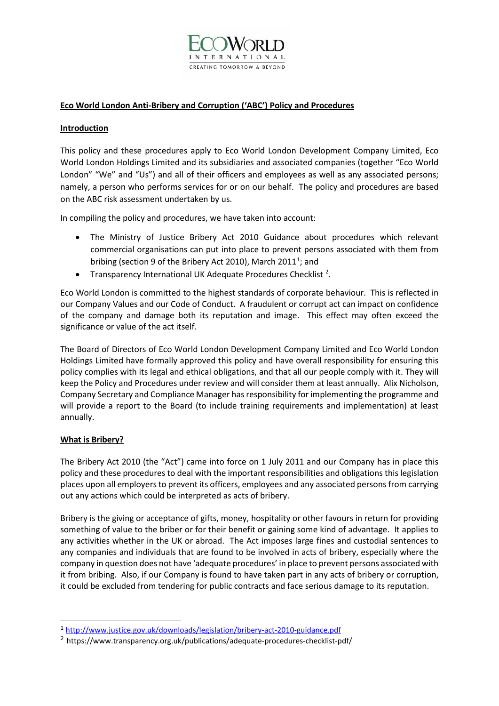

## **Eco World London Anti-Bribery and Corruption ('ABC') Policy and Procedures**

### **Introduction**

This policy and these procedures apply to Eco World London Development Company Limited, Eco World London Holdings Limited and its subsidiaries and associated companies (together "Eco World London" "We" and "Us") and all of their officers and employees as well as any associated persons; namely, a person who performs services for or on our behalf. The policy and procedures are based on the ABC risk assessment undertaken by us.

In compiling the policy and procedures, we have taken into account:

- The Ministry of Justice Bribery Act 2010 Guidance about procedures which relevant commercial organisations can put into place to prevent persons associated with them from bribing (section 9 of the Bribery Act 20[1](#page-0-0)0), March 2011<sup>1</sup>; and
- Transparency International UK Adequate Procedures Checklist<sup>[2](#page-0-1)</sup>.

Eco World London is committed to the highest standards of corporate behaviour. This is reflected in our Company Values and our Code of Conduct. A fraudulent or corrupt act can impact on confidence of the company and damage both its reputation and image. This effect may often exceed the significance or value of the act itself.

The Board of Directors of Eco World London Development Company Limited and Eco World London Holdings Limited have formally approved this policy and have overall responsibility for ensuring this policy complies with its legal and ethical obligations, and that all our people comply with it. They will keep the Policy and Procedures under review and will consider them at least annually. Alix Nicholson, Company Secretary and Compliance Manager has responsibility for implementing the programme and will provide a report to the Board (to include training requirements and implementation) at least annually.

### **What is Bribery?**

The Bribery Act 2010 (the "Act") came into force on 1 July 2011 and our Company has in place this policy and these procedures to deal with the important responsibilities and obligations this legislation places upon all employers to prevent its officers, employees and any associated persons from carrying out any actions which could be interpreted as acts of bribery.

Bribery is the giving or acceptance of gifts, money, hospitality or other favours in return for providing something of value to the briber or for their benefit or gaining some kind of advantage. It applies to any activities whether in the UK or abroad. The Act imposes large fines and custodial sentences to any companies and individuals that are found to be involved in acts of bribery, especially where the company in question does not have 'adequate procedures' in place to prevent persons associated with it from bribing. Also, if our Company is found to have taken part in any acts of bribery or corruption, it could be excluded from tendering for public contracts and face serious damage to its reputation.

<span id="page-0-0"></span><sup>1</sup> <http://www.justice.gov.uk/downloads/legislation/bribery-act-2010-guidance.pdf>

<span id="page-0-1"></span><sup>&</sup>lt;sup>2</sup> https://www.transparency.org.uk/publications/adequate-procedures-checklist-pdf/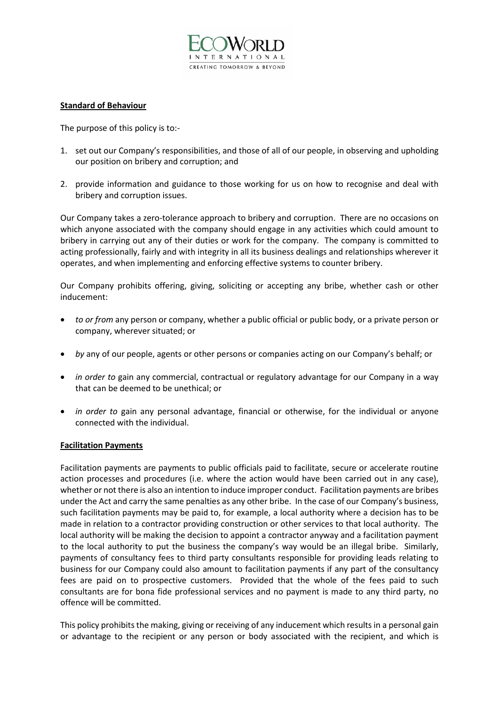

## **Standard of Behaviour**

The purpose of this policy is to:-

- 1. set out our Company's responsibilities, and those of all of our people, in observing and upholding our position on bribery and corruption; and
- 2. provide information and guidance to those working for us on how to recognise and deal with bribery and corruption issues.

Our Company takes a zero-tolerance approach to bribery and corruption. There are no occasions on which anyone associated with the company should engage in any activities which could amount to bribery in carrying out any of their duties or work for the company. The company is committed to acting professionally, fairly and with integrity in all its business dealings and relationships wherever it operates, and when implementing and enforcing effective systems to counter bribery.

Our Company prohibits offering, giving, soliciting or accepting any bribe, whether cash or other inducement:

- *to or from* any person or company, whether a public official or public body, or a private person or company, wherever situated; or
- *by* any of our people, agents or other persons or companies acting on our Company's behalf; or
- *in order to* gain any commercial, contractual or regulatory advantage for our Company in a way that can be deemed to be unethical; or
- *in order to* gain any personal advantage, financial or otherwise, for the individual or anyone connected with the individual.

### **Facilitation Payments**

Facilitation payments are payments to public officials paid to facilitate, secure or accelerate routine action processes and procedures (i.e. where the action would have been carried out in any case), whether or not there is also an intention to induce improper conduct. Facilitation payments are bribes under the Act and carry the same penalties as any other bribe. In the case of our Company's business, such facilitation payments may be paid to, for example, a local authority where a decision has to be made in relation to a contractor providing construction or other services to that local authority. The local authority will be making the decision to appoint a contractor anyway and a facilitation payment to the local authority to put the business the company's way would be an illegal bribe. Similarly, payments of consultancy fees to third party consultants responsible for providing leads relating to business for our Company could also amount to facilitation payments if any part of the consultancy fees are paid on to prospective customers. Provided that the whole of the fees paid to such consultants are for bona fide professional services and no payment is made to any third party, no offence will be committed.

This policy prohibits the making, giving or receiving of any inducement which results in a personal gain or advantage to the recipient or any person or body associated with the recipient, and which is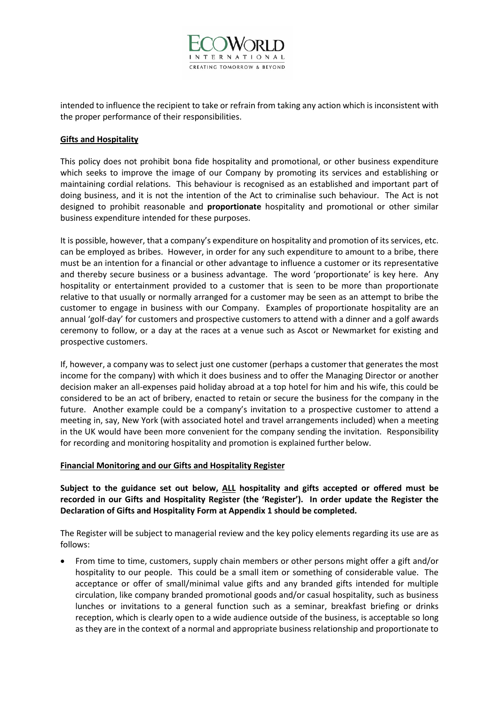

intended to influence the recipient to take or refrain from taking any action which is inconsistent with the proper performance of their responsibilities.

### **Gifts and Hospitality**

This policy does not prohibit bona fide hospitality and promotional, or other business expenditure which seeks to improve the image of our Company by promoting its services and establishing or maintaining cordial relations. This behaviour is recognised as an established and important part of doing business, and it is not the intention of the Act to criminalise such behaviour. The Act is not designed to prohibit reasonable and **proportionate** hospitality and promotional or other similar business expenditure intended for these purposes.

It is possible, however, that a company's expenditure on hospitality and promotion of its services, etc. can be employed as bribes. However, in order for any such expenditure to amount to a bribe, there must be an intention for a financial or other advantage to influence a customer or its representative and thereby secure business or a business advantage. The word 'proportionate' is key here. Any hospitality or entertainment provided to a customer that is seen to be more than proportionate relative to that usually or normally arranged for a customer may be seen as an attempt to bribe the customer to engage in business with our Company. Examples of proportionate hospitality are an annual 'golf-day' for customers and prospective customers to attend with a dinner and a golf awards ceremony to follow, or a day at the races at a venue such as Ascot or Newmarket for existing and prospective customers.

If, however, a company was to select just one customer (perhaps a customer that generates the most income for the company) with which it does business and to offer the Managing Director or another decision maker an all-expenses paid holiday abroad at a top hotel for him and his wife, this could be considered to be an act of bribery, enacted to retain or secure the business for the company in the future. Another example could be a company's invitation to a prospective customer to attend a meeting in, say, New York (with associated hotel and travel arrangements included) when a meeting in the UK would have been more convenient for the company sending the invitation. Responsibility for recording and monitoring hospitality and promotion is explained further below.

### **Financial Monitoring and our Gifts and Hospitality Register**

**Subject to the guidance set out below, ALL hospitality and gifts accepted or offered must be recorded in our Gifts and Hospitality Register (the 'Register'). In order update the Register the Declaration of Gifts and Hospitality Form at Appendix 1 should be completed.** 

The Register will be subject to managerial review and the key policy elements regarding its use are as follows:

• From time to time, customers, supply chain members or other persons might offer a gift and/or hospitality to our people. This could be a small item or something of considerable value. The acceptance or offer of small/minimal value gifts and any branded gifts intended for multiple circulation, like company branded promotional goods and/or casual hospitality, such as business lunches or invitations to a general function such as a seminar, breakfast briefing or drinks reception, which is clearly open to a wide audience outside of the business, is acceptable so long as they are in the context of a normal and appropriate business relationship and proportionate to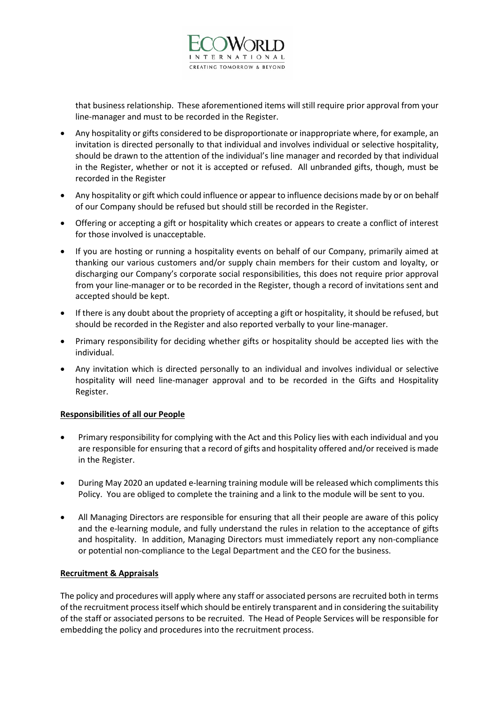

that business relationship. These aforementioned items will still require prior approval from your line-manager and must to be recorded in the Register.

- Any hospitality or gifts considered to be disproportionate or inappropriate where, for example, an invitation is directed personally to that individual and involves individual or selective hospitality, should be drawn to the attention of the individual's line manager and recorded by that individual in the Register, whether or not it is accepted or refused. All unbranded gifts, though, must be recorded in the Register
- Any hospitality or gift which could influence or appear to influence decisions made by or on behalf of our Company should be refused but should still be recorded in the Register.
- Offering or accepting a gift or hospitality which creates or appears to create a conflict of interest for those involved is unacceptable.
- If you are hosting or running a hospitality events on behalf of our Company, primarily aimed at thanking our various customers and/or supply chain members for their custom and loyalty, or discharging our Company's corporate social responsibilities, this does not require prior approval from your line-manager or to be recorded in the Register, though a record of invitations sent and accepted should be kept.
- If there is any doubt about the propriety of accepting a gift or hospitality, it should be refused, but should be recorded in the Register and also reported verbally to your line-manager.
- Primary responsibility for deciding whether gifts or hospitality should be accepted lies with the individual.
- Any invitation which is directed personally to an individual and involves individual or selective hospitality will need line-manager approval and to be recorded in the Gifts and Hospitality Register.

### **Responsibilities of all our People**

- Primary responsibility for complying with the Act and this Policy lies with each individual and you are responsible for ensuring that a record of gifts and hospitality offered and/or received is made in the Register.
- During May 2020 an updated e-learning training module will be released which compliments this Policy. You are obliged to complete the training and a link to the module will be sent to you.
- All Managing Directors are responsible for ensuring that all their people are aware of this policy and the e-learning module, and fully understand the rules in relation to the acceptance of gifts and hospitality. In addition, Managing Directors must immediately report any non-compliance or potential non-compliance to the Legal Department and the CEO for the business.

### **Recruitment & Appraisals**

The policy and procedures will apply where any staff or associated persons are recruited both in terms of the recruitment process itself which should be entirely transparent and in considering the suitability of the staff or associated persons to be recruited. The Head of People Services will be responsible for embedding the policy and procedures into the recruitment process.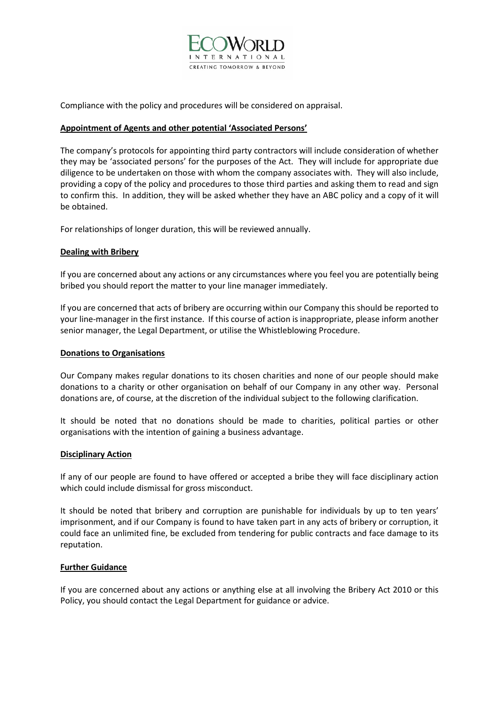

Compliance with the policy and procedures will be considered on appraisal.

### **Appointment of Agents and other potential 'Associated Persons'**

The company's protocols for appointing third party contractors will include consideration of whether they may be 'associated persons' for the purposes of the Act. They will include for appropriate due diligence to be undertaken on those with whom the company associates with. They will also include, providing a copy of the policy and procedures to those third parties and asking them to read and sign to confirm this. In addition, they will be asked whether they have an ABC policy and a copy of it will be obtained.

For relationships of longer duration, this will be reviewed annually.

## **Dealing with Bribery**

If you are concerned about any actions or any circumstances where you feel you are potentially being bribed you should report the matter to your line manager immediately.

If you are concerned that acts of bribery are occurring within our Company this should be reported to your line-manager in the first instance. If this course of action is inappropriate, please inform another senior manager, the Legal Department, or utilise the Whistleblowing Procedure.

### **Donations to Organisations**

Our Company makes regular donations to its chosen charities and none of our people should make donations to a charity or other organisation on behalf of our Company in any other way. Personal donations are, of course, at the discretion of the individual subject to the following clarification.

It should be noted that no donations should be made to charities, political parties or other organisations with the intention of gaining a business advantage.

### **Disciplinary Action**

If any of our people are found to have offered or accepted a bribe they will face disciplinary action which could include dismissal for gross misconduct.

It should be noted that bribery and corruption are punishable for individuals by up to ten years' imprisonment, and if our Company is found to have taken part in any acts of bribery or corruption, it could face an unlimited fine, be excluded from tendering for public contracts and face damage to its reputation.

### **Further Guidance**

If you are concerned about any actions or anything else at all involving the Bribery Act 2010 or this Policy, you should contact the Legal Department for guidance or advice.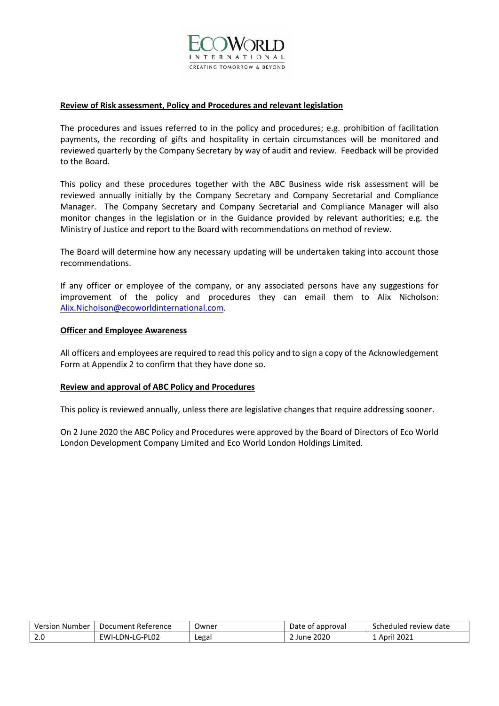

#### **Review of Risk assessment, Policy and Procedures and relevant legislation**

The procedures and issues referred to in the policy and procedures; e.g. prohibition of facilitation payments, the recording of gifts and hospitality in certain circumstances will be monitored and reviewed quarterly by the Company Secretary by way of audit and review. Feedback will be provided to the Board.

This policy and these procedures together with the ABC Business wide risk assessment will be reviewed annually initially by the Company Secretary and Company Secretarial and Compliance Manager. The Company Secretary and Company Secretarial and Compliance Manager will also monitor changes in the legislation or in the Guidance provided by relevant authorities; e.g. the Ministry of Justice and report to the Board with recommendations on method of review.

The Board will determine how any necessary updating will be undertaken taking into account those recommendations.

If any officer or employee of the company, or any associated persons have any suggestions for improvement of the policy and procedures they can email them to Alix Nicholson: [Alix.Nicholson@ecoworldinternational.com.](mailto:Alix.Nicholson@ecoworldinternational.com)

#### **Officer and Employee Awareness**

All officers and employees are required to read this policy and to sign a copy of the Acknowledgement Form at Appendix 2 to confirm that they have done so.

#### **Review and approval of ABC Policy and Procedures**

This policy is reviewed annually, unless there are legislative changes that require addressing sooner.

On 2 June 2020 the ABC Policy and Procedures were approved by the Board of Directors of Eco World London Development Company Limited and Eco World London Holdings Limited.

| Version<br>Number    | Reference<br>Document    | Jwner | Date<br>approva.<br>Οt | l review date<br>sched:<br>PAILIPU |
|----------------------|--------------------------|-------|------------------------|------------------------------------|
| $\sim$ $\sim$<br>z.u | LG-PL02<br>FWI-I<br>DN-L | Legal | 2020                   | 202.<br>Δnril                      |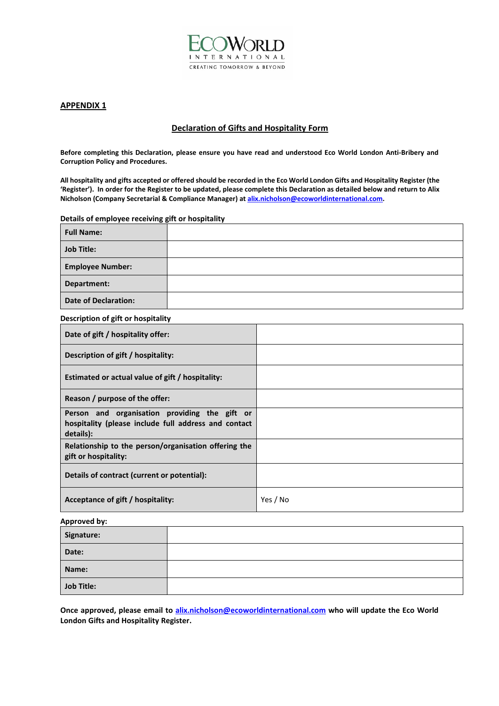

#### **APPENDIX 1**

### **Declaration of Gifts and Hospitality Form**

**Before completing this Declaration, please ensure you have read and understood Eco World London Anti-Bribery and Corruption Policy and Procedures.**

**All hospitality and gifts accepted or offered should be recorded in the Eco World London Gifts and Hospitality Register (the 'Register'). In order for the Register to be updated, please complete this Declaration as detailed below and return to Alix Nicholson (Company Secretarial & Compliance Manager) at [alix.nicholson@ecoworldinternational.com.](mailto:alix.nicholson@ecoworldinternational.com)**

#### **Details of employee receiving gift or hospitality**

| <b>Full Name:</b>           |  |
|-----------------------------|--|
| <b>Job Title:</b>           |  |
| <b>Employee Number:</b>     |  |
| Department:                 |  |
| <b>Date of Declaration:</b> |  |

#### **Description of gift or hospitality**

| Date of gift / hospitality offer:                                                                                  |          |
|--------------------------------------------------------------------------------------------------------------------|----------|
| Description of gift / hospitality:                                                                                 |          |
| Estimated or actual value of gift / hospitality:                                                                   |          |
| Reason / purpose of the offer:                                                                                     |          |
| Person and organisation providing the gift or<br>hospitality (please include full address and contact<br>details): |          |
| Relationship to the person/organisation offering the<br>gift or hospitality:                                       |          |
| Details of contract (current or potential):                                                                        |          |
| Acceptance of gift / hospitality:                                                                                  | Yes / No |

### **Approved by:**

| Signature:        |  |
|-------------------|--|
| Date:             |  |
| Name:             |  |
| <b>Job Title:</b> |  |

**Once approved, please email to [alix.nicholson@ecoworldinternational.com](mailto:alix.nicholson@ecoworldinternational.com) who will update the Eco World London Gifts and Hospitality Register.**